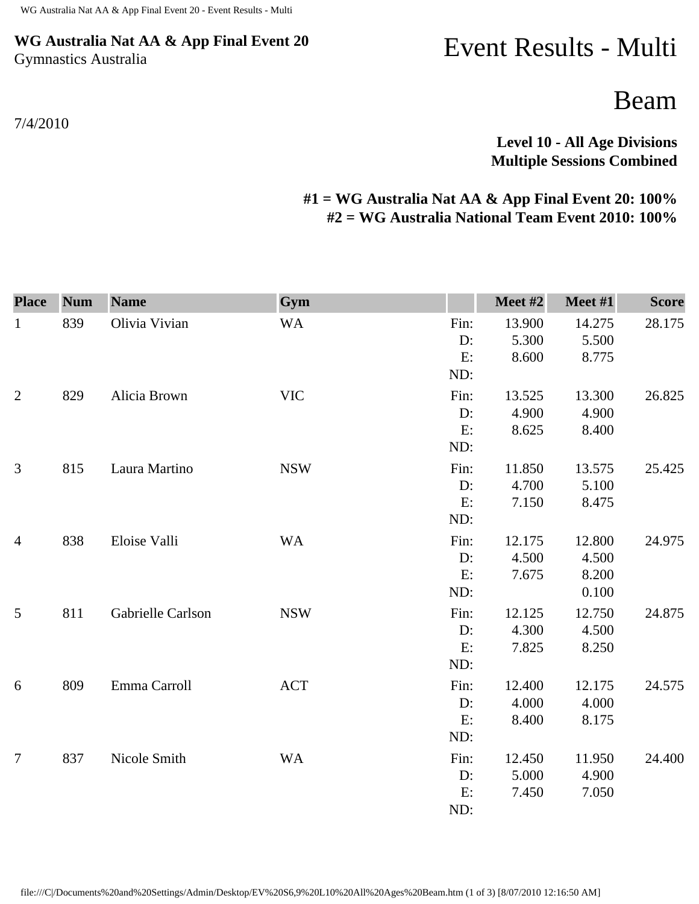## **WG Australia Nat AA & App Final Event 20** Gymnastics Australia

## Event Results - Multi

Beam

**Level 10 - All Age Divisions Multiple Sessions Combined** 

## **#1 = WG Australia Nat AA & App Final Event 20: 100% #2 = WG Australia National Team Event 2010: 100%**

| <b>Place</b>   | <b>Num</b> | <b>Name</b>       | Gym        |            | Meet #2         | Meet #1         | <b>Score</b> |
|----------------|------------|-------------------|------------|------------|-----------------|-----------------|--------------|
| $\mathbf{1}$   | 839        | Olivia Vivian     | <b>WA</b>  | Fin:<br>D: | 13.900<br>5.300 | 14.275<br>5.500 | 28.175       |
|                |            |                   |            | E:         | 8.600           | 8.775           |              |
|                |            |                   |            | ND:        |                 |                 |              |
| $\overline{2}$ | 829        | Alicia Brown      | <b>VIC</b> | Fin:       | 13.525          | 13.300          | 26.825       |
|                |            |                   |            | $D$ :      | 4.900           | 4.900           |              |
|                |            |                   |            | E:         | 8.625           | 8.400           |              |
|                |            |                   |            | ND:        |                 |                 |              |
| $\mathfrak{Z}$ | 815        | Laura Martino     | <b>NSW</b> | Fin:       | 11.850          | 13.575          | 25.425       |
|                |            |                   |            | D:         | 4.700           | 5.100           |              |
|                |            |                   |            | E:         | 7.150           | 8.475           |              |
|                |            |                   |            | ND:        |                 |                 |              |
| $\overline{4}$ | 838        | Eloise Valli      | <b>WA</b>  | Fin:       | 12.175          | 12.800          | 24.975       |
|                |            |                   |            | D:         | 4.500           | 4.500           |              |
|                |            |                   |            | E:         | 7.675           | 8.200           |              |
|                |            |                   |            | ND:        |                 | 0.100           |              |
| 5              | 811        | Gabrielle Carlson | <b>NSW</b> | Fin:       | 12.125          | 12.750          | 24.875       |
|                |            |                   |            | D:         | 4.300           | 4.500           |              |
|                |            |                   |            | E:         | 7.825           | 8.250           |              |
|                |            |                   |            | ND:        |                 |                 |              |
| 6              | 809        | Emma Carroll      | <b>ACT</b> | Fin:       | 12.400          | 12.175          | 24.575       |
|                |            |                   |            | D:         | 4.000           | 4.000           |              |
|                |            |                   |            | E:         | 8.400           | 8.175           |              |
|                |            |                   |            | ND:        |                 |                 |              |
| $\overline{7}$ | 837        | Nicole Smith      | <b>WA</b>  | Fin:       | 12.450          | 11.950          | 24.400       |
|                |            |                   |            | D:         | 5.000           | 4.900           |              |
|                |            |                   |            | E:         | 7.450           | 7.050           |              |
|                |            |                   |            | ND:        |                 |                 |              |

7/4/2010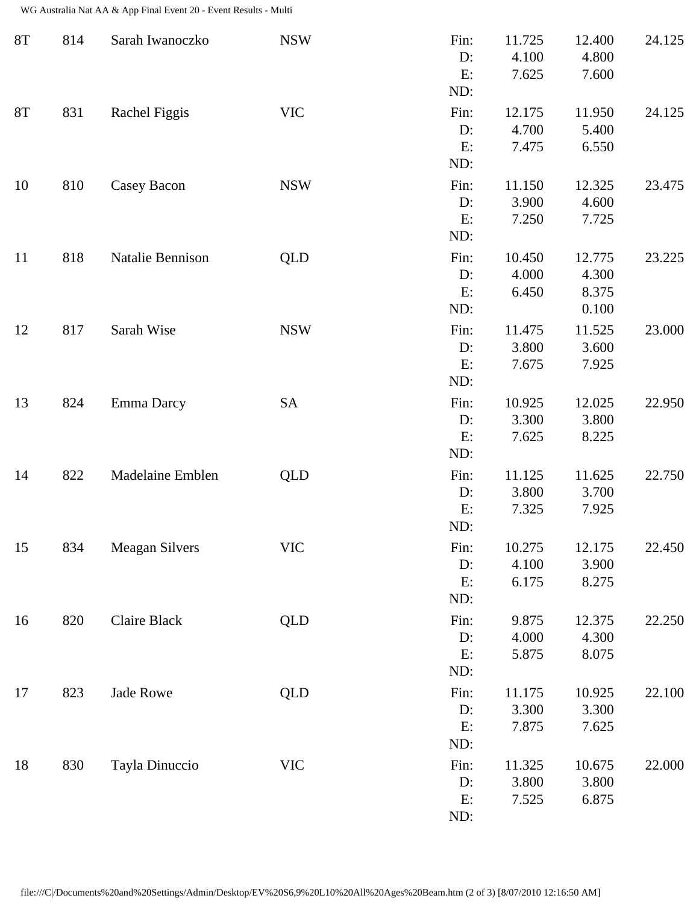WG Australia Nat AA & App Final Event 20 - Event Results - Multi

| <b>8T</b>     | 814 | Sarah Iwanoczko       | <b>NSW</b> | Fin:<br>D:<br>E:<br>ND:    | 11.725<br>4.100<br>7.625 | 12.400<br>4.800<br>7.600          | 24.125 |
|---------------|-----|-----------------------|------------|----------------------------|--------------------------|-----------------------------------|--------|
| $8\mathrm{T}$ | 831 | Rachel Figgis         | <b>VIC</b> | Fin:<br>$D$ :<br>E:<br>ND: | 12.175<br>4.700<br>7.475 | 11.950<br>5.400<br>6.550          | 24.125 |
| 10            | 810 | Casey Bacon           | <b>NSW</b> | Fin:<br>D:<br>E:<br>ND:    | 11.150<br>3.900<br>7.250 | 12.325<br>4.600<br>7.725          | 23.475 |
| 11            | 818 | Natalie Bennison      | <b>QLD</b> | Fin:<br>D:<br>E:<br>ND:    | 10.450<br>4.000<br>6.450 | 12.775<br>4.300<br>8.375<br>0.100 | 23.225 |
| 12            | 817 | Sarah Wise            | <b>NSW</b> | Fin:<br>$D$ :<br>E:<br>ND: | 11.475<br>3.800<br>7.675 | 11.525<br>3.600<br>7.925          | 23.000 |
| 13            | 824 | Emma Darcy            | SA         | Fin:<br>D:<br>E:<br>ND:    | 10.925<br>3.300<br>7.625 | 12.025<br>3.800<br>8.225          | 22.950 |
| 14            | 822 | Madelaine Emblen      | <b>QLD</b> | Fin:<br>D:<br>E:<br>ND:    | 11.125<br>3.800<br>7.325 | 11.625<br>3.700<br>7.925          | 22.750 |
| 15            | 834 | <b>Meagan Silvers</b> | <b>VIC</b> | Fin:<br>D:<br>E:<br>ND:    | 10.275<br>4.100<br>6.175 | 12.175<br>3.900<br>8.275          | 22.450 |
| 16            | 820 | Claire Black          | <b>QLD</b> | Fin:<br>$D$ :<br>E:<br>ND: | 9.875<br>4.000<br>5.875  | 12.375<br>4.300<br>8.075          | 22.250 |
| 17            | 823 | Jade Rowe             | <b>QLD</b> | Fin:<br>$D$ :<br>E:<br>ND: | 11.175<br>3.300<br>7.875 | 10.925<br>3.300<br>7.625          | 22.100 |
| 18            | 830 | Tayla Dinuccio        | <b>VIC</b> | Fin:<br>D:<br>E:<br>ND:    | 11.325<br>3.800<br>7.525 | 10.675<br>3.800<br>6.875          | 22.000 |